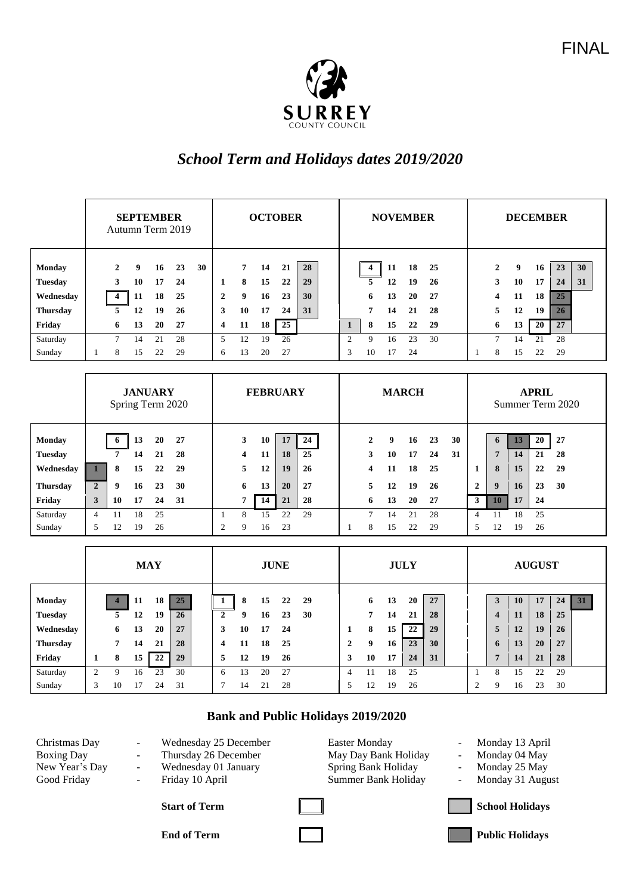

## *School Term and Holidays dates 2019/2020*

|                 | <b>SEPTEMBER</b><br>Autumn Term 2019 |                         |    |    |    | <b>OCTOBER</b> |   |                |    |    |    |  | <b>NOVEMBER</b> |                |    |    |    |  | <b>DECEMBER</b> |    |    |    |    |  |
|-----------------|--------------------------------------|-------------------------|----|----|----|----------------|---|----------------|----|----|----|--|-----------------|----------------|----|----|----|--|-----------------|----|----|----|----|--|
| <b>Monday</b>   |                                      | 2                       | 9  | 16 | 23 | 30             |   | $\overline{7}$ | 14 | 21 | 28 |  |                 | 4              | 11 | 18 | 25 |  | 2               | 9  | 16 | 23 | 30 |  |
| <b>Tuesday</b>  |                                      | 3                       | 10 | 17 | 24 |                | 1 | 8              | 15 | 22 | 29 |  |                 | 5              | 12 | 19 | 26 |  | 3               | 10 | 17 | 24 | 31 |  |
| Wednesday       |                                      | $\overline{\mathbf{4}}$ | 11 | 18 | 25 |                | 2 | 9              | 16 | 23 | 30 |  |                 | 6              | 13 | 20 | 27 |  | 4               | 11 | 18 | 25 |    |  |
| <b>Thursday</b> |                                      | 5.                      | 12 | 19 | 26 |                | 3 | 10             | 17 | 24 | 31 |  |                 | $\overline{7}$ | 14 | 21 | 28 |  | 5               | 12 | 19 | 26 |    |  |
| Friday          |                                      | 6                       | 13 | 20 | 27 |                | 4 | 11             | 18 | 25 |    |  |                 | 8              | 15 | 22 | 29 |  | 6               | 13 | 20 | 27 |    |  |
| Saturday        |                                      | $\tau$                  | 14 | 21 | 28 |                | 5 | 12             | 19 | 26 |    |  | 2               | 9              | 16 | 23 | 30 |  | $\overline{ }$  | 14 | 21 | 28 |    |  |
| Sunday          |                                      | 8                       | 15 | 22 | 29 |                | 6 | 13             | 20 | 27 |    |  | 3               | 10             | 17 | 24 |    |  | 8               | 15 | 22 | 29 |    |  |

|                          | <b>JANUARY</b><br>Spring Term 2020 |    |          |          |          |                | <b>FEBRUARY</b> |          |          | <b>MARCH</b> |  |                   |         |          |          | <b>APRIL</b><br>Summer Term 2020 |                |                     |          |          |          |
|--------------------------|------------------------------------|----|----------|----------|----------|----------------|-----------------|----------|----------|--------------|--|-------------------|---------|----------|----------|----------------------------------|----------------|---------------------|----------|----------|----------|
| Monday<br><b>Tuesday</b> |                                    | 6  | 13<br>14 | 20<br>21 | 27<br>28 |                | 3<br>4          | 10<br>11 | 17<br>18 | 24<br>25     |  | $\mathbf{2}$<br>3 | 9<br>10 | 16<br>17 | 23<br>24 | 30<br>31                         |                | 6<br>$\overline{ }$ | 13<br>14 | 20<br>21 | 27<br>28 |
| Wednesday                |                                    | 8  | 15       | 22       | 29       |                | 5               | 12       | 19       | 26           |  | 4                 | 11      | 18       | 25       |                                  | -1             | 8                   | 15       | 22       | 29       |
| <b>Thursday</b>          | $\overline{2}$                     | 9  | 16       | 23       | 30       |                | 6               | 13       | 20       | 27           |  | 5.                | 12      | 19       | 26       |                                  | $\overline{2}$ | 9                   | 16       | 23       | 30       |
| Friday                   | 3                                  | 10 | 17       | 24       | 31       |                | 7               | 14       | 21       | 28           |  | 6                 | 13      | 20       | 27       |                                  | 3              | 10                  | 17       | 24       |          |
| Saturday                 | 4                                  | 11 | 18       | 25       |          |                | 8               | 15       | 22       | 29           |  | 7                 | 14      | 21       | 28       |                                  | 4              | 11                  | 18       | 25       |          |
| Sunday                   | 5                                  | 12 | 19       | 26       |          | $\overline{c}$ | 9               | 16       | 23       |              |  | 8                 | 15      | 22       | 29       |                                  | 5              | 12                  | 19       | 26       |          |

|                 | <b>MAY</b> |    |     |    |    | <b>JUNE</b> |              |    |    |    |    | <b>JULY</b> |   |    |    |    |    | <b>AUGUST</b> |                |   |    |    |    |    |
|-----------------|------------|----|-----|----|----|-------------|--------------|----|----|----|----|-------------|---|----|----|----|----|---------------|----------------|---|----|----|----|----|
| <b>Monday</b>   |            |    | -11 | 18 | 25 |             |              | 8  | 15 | 22 | 29 |             |   | 6  | 13 | 20 | 27 |               |                |   | 10 | 17 | 24 | 31 |
| <b>Tuesday</b>  |            | 5  | 12  | 19 | 26 |             | $\mathbf{2}$ | 9  | 16 | 23 | 30 |             |   | 7  | 14 | 21 | 28 |               |                | 4 | 11 | 18 | 25 |    |
| Wednesday       |            | 6  | 13  | 20 | 27 |             | 3            | 10 | 17 | 24 |    |             |   | 8  | 15 | 22 | 29 |               |                | 5 | 12 | 19 | 26 |    |
| <b>Thursday</b> |            |    | 14  | 21 | 28 |             | 4            | 11 | 18 | 25 |    |             | 2 | 9  | 16 | 23 | 30 |               |                | 6 | 13 | 20 | 27 |    |
| Friday          |            | 8  | 15  | 22 | 29 |             | 5            | 12 | 19 | 26 |    |             | 3 | 10 | 17 | 24 | 31 |               |                | - | 14 | 21 | 28 |    |
| Saturday        | っ          | 9  | 16  | 23 | 30 |             | 6            | 13 | 20 | 27 |    |             | 4 |    | 18 | 25 |    |               |                | 8 | 15 | 22 | 29 |    |
| Sunday          | 3          | 10 | 17  | 24 | 31 |             |              | 14 | 21 | 28 |    |             | 5 | 12 | 19 | 26 |    |               | $\overline{2}$ | 9 | 16 | 23 | 30 |    |

## **Bank and Public Holidays 2019/2020**

| Christmas Day     |
|-------------------|
| <b>Boxing Day</b> |
| New Year's Day    |
| Good Friday       |

- 
- 

Wednesday 25 December Easter Monday - Monday 13 April Thursday 26 December May Day Bank Holiday - Monday 04 May - Wednesday 01 January Spring Bank Holiday - Monday 25 May Friday 10 April Summer Bank Holiday - Monday 31 August

- 
- 
- 



**End of Term Public Holidays**